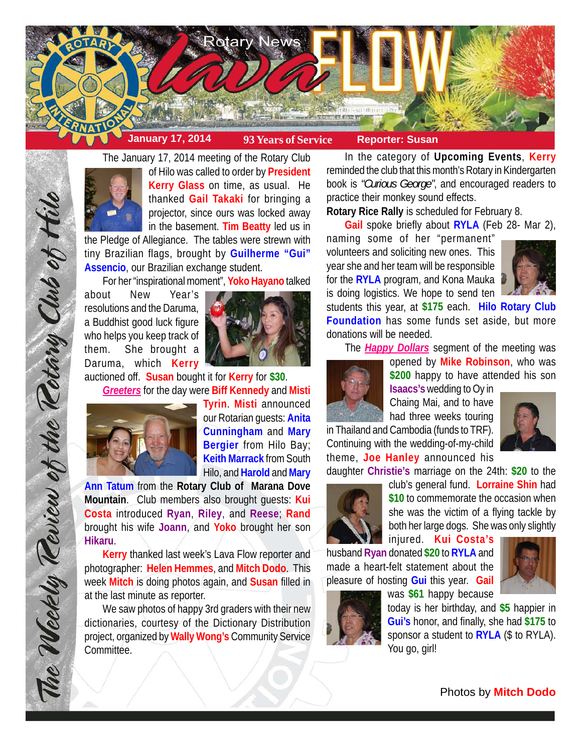

The January 17, 2014 meeting of the Rotary Club



of Hilo was called to order by **President Kerry Glass** on time, as usual. He thanked **Gail Takaki** for bringing a projector, since ours was locked away in the basement. **Tim Beatty** led us in

the Pledge of Allegiance. The tables were strewn with tiny Brazilian flags, brought by **Guilherme "Gui" Assencio**, our Brazilian exchange student.

For her "inspirational moment", **Yoko Hayano** talked

about New Year's resolutions and the Daruma, a Buddhist good luck figure who helps you keep track of them. She brought a Daruma, which **Kerry**



auctioned off. **Susan** bought it for **Kerry** for **\$30**. *Greeters* for the day were **Biff Kennedy** and **Misti**



The Weekly Teview of the Tetary Club of Hilo

**Tyrin**. **Misti** announced our Rotarian guests: **Anita Cunningham** and **Mary Bergier** from Hilo Bay; **Keith Marrack** from South Hilo, and **Harold** and **Mary**

**Ann Tatum** from the **Rotary Club of Marana Dove Mountain**. Club members also brought guests: **Kui Costa** introduced **Ryan**, **Riley**, and **Reese**; **Rand** brought his wife **Joann**, and **Yoko** brought her son **Hikaru**.

**Kerry** thanked last week's Lava Flow reporter and photographer: **Helen Hemmes**, and **Mitch Dodo**. This week **Mitch** is doing photos again, and **Susan** filled in at the last minute as reporter.

We saw photos of happy 3rd graders with their new dictionaries, courtesy of the Dictionary Distribution project, organized by **Wally Wong's** Community Service Committee.

In the category of **Upcoming Events**, **Kerry** reminded the club that this month's Rotary in Kindergarten book is *"Curious George"*, and encouraged readers to practice their monkey sound effects.

**Rotary Rice Rally** is scheduled for February 8.

**Gail** spoke briefly about **RYLA** (Feb 28- Mar 2),

naming some of her "permanent" volunteers and soliciting new ones. This year she and her team will be responsible for the **RYLA** program, and Kona Mauka is doing logistics. We hope to send ten



students this year, at **\$175** each. **Hilo Rotary Club Foundation** has some funds set aside, but more donations will be needed.

The *Happy Dollars* segment of the meeting was



opened by **Mike Robinson**, who was **\$200** happy to have attended his son **Isaacs's** wedding to Oy in

Chaing Mai, and to have had three weeks touring in Thailand and Cambodia (funds to TRF).

Continuing with the wedding-of-my-child theme, **Joe Hanley** announced his



daughter **Christie's** marriage on the 24th: **\$20** to the



club's general fund. **Lorraine Shin** had **\$10** to commemorate the occasion when she was the victim of a flying tackle by both her large dogs. She was only slightly injured. **Kui Costa's**

husband **Ryan** donated **\$20** to **RYLA** and made a heart-felt statement about the pleasure of hosting **Gui** this year. **Gail**



was **\$61** happy because

today is her birthday, and **\$5** happier in **Gui's** honor, and finally, she had **\$175** to sponsor a student to **RYLA** (\$ to RYLA). You go, girl!